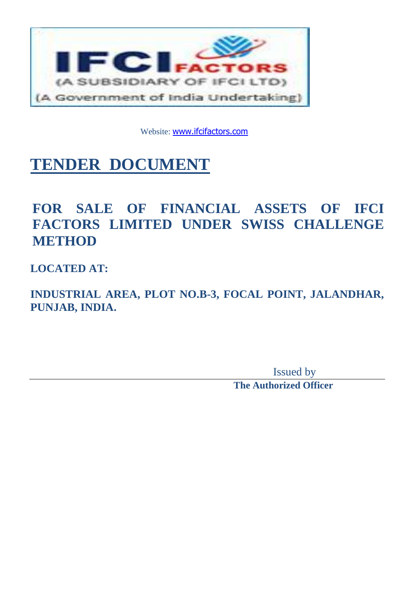

Website: [www.ifcifactors.com](http://www.ifcifactors.com/)

# **TENDER DOCUMENT**

## **FOR SALE OF FINANCIAL ASSETS OF IFCI FACTORS LIMITED UNDER SWISS CHALLENGE METHOD**

**LOCATED AT:**

**INDUSTRIAL AREA, PLOT NO.B-3, FOCAL POINT, JALANDHAR, PUNJAB, INDIA.**

> Issued by **The Authorized Officer**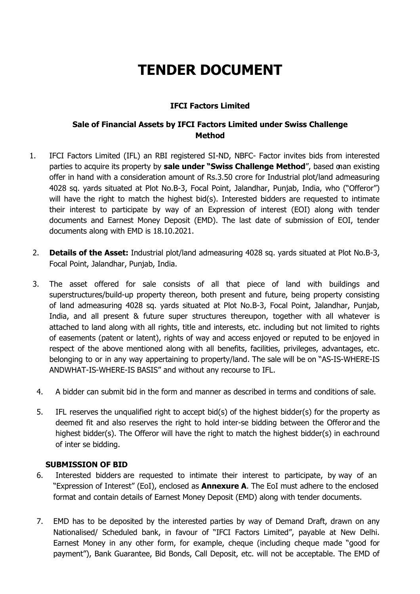## **TENDER DOCUMENT**

## **IFCI Factors Limited**

## **Sale of Financial Assets by IFCI Factors Limited under Swiss Challenge Method**

- 1. IFCI Factors Limited (IFL) an RBI registered SI-ND, NBFC- Factor invites bids from interested parties to acquire its property by **sale under "Swiss Challenge Method**", based onan existing offer in hand with a consideration amount of Rs.3.50 crore for Industrial plot/land admeasuring 4028 sq. yards situated at Plot No.B-3, Focal Point, Jalandhar, Punjab, India, who ("Offeror") will have the right to match the highest bid(s). Interested bidders are requested to intimate their interest to participate by way of an Expression of interest (EOI) along with tender documents and Earnest Money Deposit (EMD). The last date of submission of EOI, tender documents along with EMD is 18.10.2021.
- 2. **Details of the Asset:** Industrial plot/land admeasuring 4028 sq. yards situated at Plot No.B-3, Focal Point, Jalandhar, Punjab, India.
- 3. The asset offered for sale consists of all that piece of land with buildings and superstructures/build-up property thereon, both present and future, being property consisting of land admeasuring 4028 sq. yards situated at Plot No.B-3, Focal Point, Jalandhar, Punjab, India, and all present & future super structures thereupon, together with all whatever is attached to land along with all rights, title and interests, etc. including but not limited to rights of easements (patent or latent), rights of way and access enjoyed or reputed to be enjoyed in respect of the above mentioned along with all benefits, facilities, privileges, advantages, etc. belonging to or in any way appertaining to property/land. The sale will be on "AS-IS-WHERE-IS ANDWHAT-IS-WHERE-IS BASIS" and without any recourse to IFL.
- 4. A bidder can submit bid in the form and manner as described in terms and conditions of sale.
- 5. IFL reserves the unqualified right to accept bid(s) of the highest bidder(s) for the property as deemed fit and also reserves the right to hold inter-se bidding between the Offeror and the highest bidder(s). The Offeror will have the right to match the highest bidder(s) in eachround of inter se bidding.

#### **SUBMISSION OF BID**

- 6. Interested bidders are requested to intimate their interest to participate, by way of an "Expression of Interest" (EoI), enclosed as **Annexure A**. The EoI must adhere to the enclosed format and contain details of Earnest Money Deposit (EMD) along with tender documents.
- 7. EMD has to be deposited by the interested parties by way of Demand Draft, drawn on any Nationalised/ Scheduled bank, in favour of "IFCI Factors Limited", payable at New Delhi. Earnest Money in any other form, for example, cheque (including cheque made "good for payment"), Bank Guarantee, Bid Bonds, Call Deposit, etc. will not be acceptable. The EMD of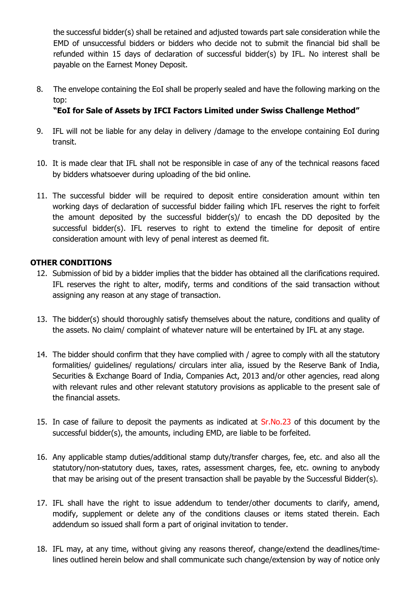the successful bidder(s) shall be retained and adjusted towards part sale consideration while the EMD of unsuccessful bidders or bidders who decide not to submit the financial bid shall be refunded within 15 days of declaration of successful bidder(s) by IFL. No interest shall be payable on the Earnest Money Deposit.

8. The envelope containing the EoI shall be properly sealed and have the following marking on the top:

## **"EoI for Sale of Assets by IFCI Factors Limited under Swiss Challenge Method "**

- 9. IFL will not be liable for any delay in delivery /damage to the envelope containing EoI during transit.
- 10. It is made clear that IFL shall not be responsible in case of any of the technical reasons faced by bidders whatsoever during uploading of the bid online.
- 11. The successful bidder will be required to deposit entire consideration amount within ten working days of declaration of successful bidder failing which IFL reserves the right to forfeit the amount deposited by the successful bidder(s)/ to encash the DD deposited by the successful bidder(s). IFL reserves to right to extend the timeline for deposit of entire consideration amount with levy of penal interest as deemed fit.

## **OTHER CONDITIONS**

- 12. Submission of bid by a bidder implies that the bidder has obtained all the clarifications required. IFL reserves the right to alter, modify, terms and conditions of the said transaction without assigning any reason at any stage of transaction.
- 13. The bidder(s) should thoroughly satisfy themselves about the nature, conditions and quality of the assets. No claim/ complaint of whatever nature will be entertained by IFL at any stage.
- 14. The bidder should confirm that they have complied with / agree to comply with all the statutory formalities/ guidelines/ regulations/ circulars inter alia, issued by the Reserve Bank of India, Securities & Exchange Board of India, Companies Act, 2013 and/or other agencies, read along with relevant rules and other relevant statutory provisions as applicable to the present sale of the financial assets.
- 15. In case of failure to deposit the payments as indicated at Sr.No.23 of this document by the successful bidder(s), the amounts, including EMD, are liable to be forfeited.
- 16. Any applicable stamp duties/additional stamp duty/transfer charges, fee, etc. and also all the statutory/non-statutory dues, taxes, rates, assessment charges, fee, etc. owning to anybody that may be arising out of the present transaction shall be payable by the Successful Bidder(s).
- 17. IFL shall have the right to issue addendum to tender/other documents to clarify, amend, modify, supplement or delete any of the conditions clauses or items stated therein. Each addendum so issued shall form a part of original invitation to tender.
- 18. IFL may, at any time, without giving any reasons thereof, change/extend the deadlines/timelines outlined herein below and shall communicate such change/extension by way of notice only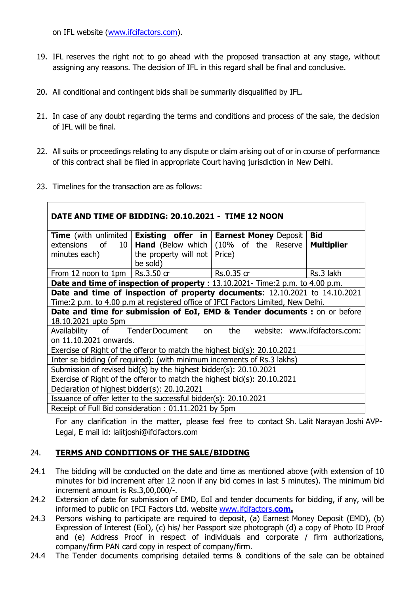on IFL website [\(www.ifcifactors.com\)](http://www.ifcifactors.com/).

- 19. IFL reserves the right not to go ahead with the proposed transaction at any stage, without assigning any reasons. The decision of IFL in this regard shall be final and conclusive.
- 20. All conditional and contingent bids shall be summarily disqualified by IFL.
- 21. In case of any doubt regarding the terms and conditions and process of the sale, the decision of IFL will be final.
- 22. All suits or proceedings relating to any dispute or claim arising out of or in course of performance of this contract shall be filed in appropriate Court having jurisdiction in New Delhi.
- 23. Timelines for the transaction are as follows:

| DATE AND TIME OF BIDDING: 20.10.2021 - TIME 12 NOON                            |                                      |                                                                                  |                               |  |  |
|--------------------------------------------------------------------------------|--------------------------------------|----------------------------------------------------------------------------------|-------------------------------|--|--|
| <b>Time</b> (with unlimited                                                    |                                      | <b>Existing offer in   Earnest Money Deposit</b>                                 | <b>Bid</b>                    |  |  |
|                                                                                |                                      | extensions of 10   <b>Hand</b> (Below which $(10\%$ of the Reserve               | <b>Multiplier</b>             |  |  |
| minutes each)                                                                  | the property will not $\vert$ Price) |                                                                                  |                               |  |  |
|                                                                                | be sold)                             |                                                                                  |                               |  |  |
| From 12 noon to 1pm   Rs.3.50 cr                                               |                                      | <u>RS.0.35</u> cr                                                                | Rs.3 lakh                     |  |  |
| Date and time of inspection of property : 13.10.2021- Time:2 p.m. to 4.00 p.m. |                                      |                                                                                  |                               |  |  |
| Date and time of inspection of property documents: 12.10.2021 to 14.10.2021    |                                      |                                                                                  |                               |  |  |
|                                                                                |                                      | Time:2 p.m. to 4.00 p.m at registered office of IFCI Factors Limited, New Delhi. |                               |  |  |
| Date and time for submission of EoI, EMD & Tender documents : on or before     |                                      |                                                                                  |                               |  |  |
| 18.10.2021 upto 5pm                                                            |                                      |                                                                                  |                               |  |  |
| Availability of Tender Document                                                |                                      | the<br>on                                                                        | website: www.ifcifactors.com: |  |  |
| on 11.10.2021 onwards.                                                         |                                      |                                                                                  |                               |  |  |
| Exercise of Right of the offeror to match the highest bid $(s)$ : 20.10.2021   |                                      |                                                                                  |                               |  |  |
| Inter se bidding (of required): (with minimum increments of Rs.3 lakhs)        |                                      |                                                                                  |                               |  |  |
| Submission of revised bid(s) by the highest bidder(s): 20.10.2021              |                                      |                                                                                  |                               |  |  |
| Exercise of Right of the offeror to match the highest bid $(s)$ : 20.10.2021   |                                      |                                                                                  |                               |  |  |
| Declaration of highest bidder(s): 20.10.2021                                   |                                      |                                                                                  |                               |  |  |
| Issuance of offer letter to the successful bidder(s): 20.10.2021               |                                      |                                                                                  |                               |  |  |
| Receipt of Full Bid consideration: 01.11.2021 by 5pm                           |                                      |                                                                                  |                               |  |  |

For any clarification in the matter, please feel free to contact Sh. Lalit Narayan Joshi AVP-Legal, E mail id: lalitjoshi@ifcifactors.com

## 24. **TERMS AND CONDITIONS OF THE SALE/BIDDING**

- 24.1 The bidding will be conducted on the date and time as mentioned above (with extension of 10 minutes for bid increment after 12 noon if any bid comes in last 5 minutes). The minimum bid increment amount is Rs.3,00,000/-.
- 24.2 Extension of date for submission of EMD, EoI and tender documents for bidding, if any, will be informed to public on IFCI Factors Ltd. website [www.ifcifactors.](http://www.ifcifactors.com/)**com.**
- 24.3 Persons wishing to participate are required to deposit, (a) Earnest Money Deposit (EMD), (b) Expression of Interest (EoI), (c) his/ her Passport size photograph (d) a copy of Photo ID Proof and (e) Address Proof in respect of individuals and corporate / firm authorizations, company/firm PAN card copy in respect of company/firm.
- 24.4 The Tender documents comprising detailed terms & conditions of the sale can be obtained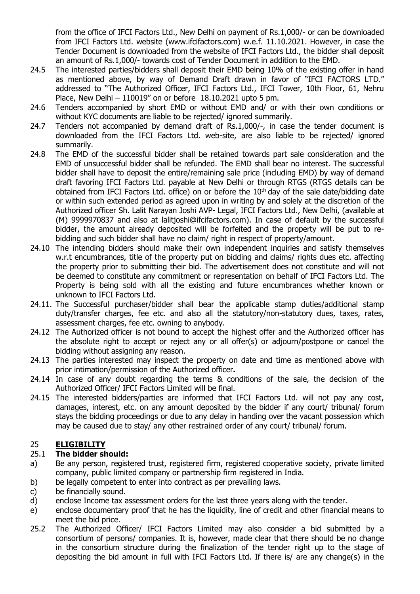from the office of IFCI Factors Ltd., New Delhi on payment of Rs.1,000/- or can be downloaded from IFCI Factors Ltd. website [\(www.ifcifactors.com\)](http://(www.ifcifactors.com)/) w.e.f. 11.10.2021. However, in case the Tender Document is downloaded from the website of IFCI Factors Ltd., the bidder shall deposit an amount of Rs.1,000/- towards cost of Tender Document in addition to the EMD.

- 24.5 The interested parties/bidders shall deposit their EMD being 10% of the existing offer in hand as mentioned above, by way of Demand Draft drawn in favor of "IFCI FACTORS LTD." addressed to "The Authorized Officer, IFCI Factors Ltd., IFCI Tower, 10th Floor, 61, Nehru Place, New Delhi – 110019" on or before 18.10.2021 upto 5 pm.
- 24.6 Tenders accompanied by short EMD or without EMD and/ or with their own conditions or without KYC documents are liable to be rejected/ ignored summarily.
- 24.7 Tenders not accompanied by demand draft of Rs.1,000/-, in case the tender document is downloaded from the IFCI Factors Ltd. web-site, are also liable to be rejected/ ignored summarily.
- 24.8 The EMD of the successful bidder shall be retained towards part sale consideration and the EMD of unsuccessful bidder shall be refunded. The EMD shall bear no interest. The successful bidder shall have to deposit the entire/remaining sale price (including EMD) by way of demand draft favoring IFCI Factors Ltd. payable at New Delhi or through RTGS (RTGS details can be obtained from IFCI Factors Ltd. office) on or before the 10<sup>th</sup> day of the sale date/bidding date or within such extended period as agreed upon in writing by and solely at the discretion of the Authorized officer Sh. Lalit Narayan Joshi AVP- Legal, IFCI Factors Ltd., New Delhi, (available at (M) 9999970837 and also at lalitjoshi@ifcifactors.com). In case of default by the successful bidder, the amount already deposited will be forfeited and the property will be put to rebidding and such bidder shall have no claim/ right in respect of property/amount.
- 24.10 The intending bidders should make their own independent inquiries and satisfy themselves w.r.t encumbrances, title of the property put on bidding and claims/ rights dues etc. affecting the property prior to submitting their bid. The advertisement does not constitute and will not be deemed to constitute any commitment or representation on behalf of IFCI Factors Ltd. The Property is being sold with all the existing and future encumbrances whether known or unknown to IFCI Factors Ltd.
- 24.11. The Successful purchaser/bidder shall bear the applicable stamp duties/additional stamp duty/transfer charges, fee etc. and also all the statutory/non-statutory dues, taxes, rates, assessment charges, fee etc. owning to anybody.
- 24.12 The Authorized officer is not bound to accept the highest offer and the Authorized officer has the absolute right to accept or reject any or all offer(s) or adjourn/postpone or cancel the bidding without assigning any reason.
- 24.13 The parties interested may inspect the property on date and time as mentioned above with prior intimation/permission of the Authorized officer**.**
- 24.14 In case of any doubt regarding the terms & conditions of the sale, the decision of the Authorized Officer/ IFCI Factors Limited will be final.
- 24.15 The interested bidders/parties are informed that IFCI Factors Ltd. will not pay any cost, damages, interest, etc. on any amount deposited by the bidder if any court/ tribunal/ forum stays the bidding proceedings or due to any delay in handing over the vacant possession which may be caused due to stay/ any other restrained order of any court/ tribunal/ forum.

## 25 **ELIGIBILITY**

## 25.1 **The bidder should:**

- a) Be any person, registered trust, registered firm, registered cooperative society, private limited company, public limited company or partnership firm registered in India.
- b) be legally competent to enter into contract as per prevailing laws.
- c) be financially sound.
- d) enclose Income tax assessment orders for the last three years along with the tender.
- e) enclose documentary proof that he has the liquidity, line of credit and other financial means to meet the bid price.
- 25.2 The Authorized Officer/ IFCI Factors Limited may also consider a bid submitted by a consortium of persons/ companies. It is, however, made clear that there should be no change in the consortium structure during the finalization of the tender right up to the stage of depositing the bid amount in full with IFCI Factors Ltd. If there is/ are any change(s) in the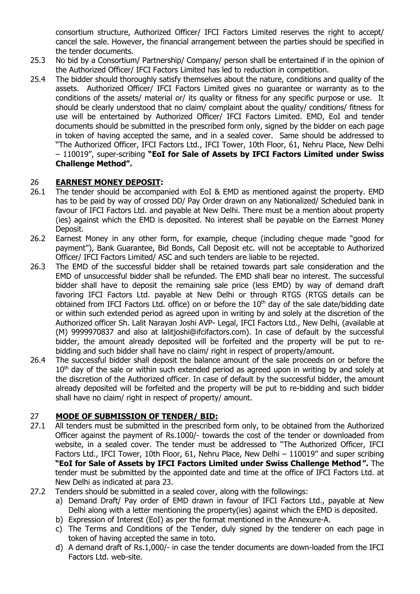consortium structure, Authorized Officer/ IFCI Factors Limited reserves the right to accept/ cancel the sale. However, the financial arrangement between the parties should be specified in the tender documents.

- 25.3 No bid by a Consortium/ Partnership/ Company/ person shall be entertained if in the opinion of the Authorized Officer/ IFCI Factors Limited has led to reduction in competition.
- 25.4 The bidder should thoroughly satisfy themselves about the nature, conditions and quality of the assets. Authorized Officer/ IFCI Factors Limited gives no guarantee or warranty as to the conditions of the assets/ material or/ its quality or fitness for any specific purpose or use. It should be clearly understood that no claim/ complaint about the quality/ conditions/ fitness for use will be entertained by Authorized Officer/ IFCI Factors Limited. EMD, EoI and tender documents should be submitted in the prescribed form only, signed by the bidder on each page in token of having accepted the same, and in a sealed cover. Same should be addressed to "The Authorized Officer, IFCI Factors Ltd., IFCI Tower, 10th Floor, 61, Nehru Place, New Delhi – 110019", super-scribing **"EoI for Sale of Assets by IFCI Factors Limited under Swiss Challenge Method ".**

#### 26 **EARNEST MONEY DEPOSIT:**

- 26.1 The tender should be accompanied with EoI & EMD as mentioned against the property. EMD has to be paid by way of crossed DD/ Pay Order drawn on any Nationalized/ Scheduled bank in favour of IFCI Factors Ltd. and payable at New Delhi. There must be a mention about property (ies) against which the EMD is deposited. No interest shall be payable on the Earnest Money Deposit.
- 26.2 Earnest Money in any other form, for example, cheque (including cheque made "good for payment"), Bank Guarantee, Bid Bonds, Call Deposit etc. will not be acceptable to Authorized Officer/ IFCI Factors Limited/ ASC and such tenders are liable to be rejected.
- 26.3 The EMD of the successful bidder shall be retained towards part sale consideration and the EMD of unsuccessful bidder shall be refunded. The EMD shall bear no interest. The successful bidder shall have to deposit the remaining sale price (less EMD) by way of demand draft favoring IFCI Factors Ltd. payable at New Delhi or through RTGS (RTGS details can be obtained from IFCI Factors Ltd. office) on or before the 10<sup>th</sup> day of the sale date/bidding date or within such extended period as agreed upon in writing by and solely at the discretion of the Authorized officer Sh. Lalit Narayan Joshi AVP- Legal, IFCI Factors Ltd., New Delhi, (available at (M) 9999970837 and also at lalitjoshi@ifcifactors.com). In case of default by the successful bidder, the amount already deposited will be forfeited and the property will be put to rebidding and such bidder shall have no claim/ right in respect of property/amount.
- 26.4 The successful bidder shall deposit the balance amount of the sale proceeds on or before the  $10<sup>th</sup>$  day of the sale or within such extended period as agreed upon in writing by and solely at the discretion of the Authorized officer. In case of default by the successful bidder, the amount already deposited will be forfeited and the property will be put to re-bidding and such bidder shall have no claim/ right in respect of property/ amount.

#### 27 **MODE OF SUBMISSION OF TENDER/ BID:**

- 27.1 All tenders must be submitted in the prescribed form only, to be obtained from the Authorized Officer against the payment of Rs.1000/- towards the cost of the tender or downloaded from website, in a sealed cover. The tender must be addressed to "The Authorized Officer, IFCI Factors Ltd., IFCI Tower, 10th Floor, 61, Nehru Place, New Delhi – 110019" and super scribing **"EoI for Sale of Assets by IFCI Factors Limited under Swiss Challenge Method ".** The tender must be submitted by the appointed date and time at the office of IFCI Factors Ltd. at New Delhi as indicated at para 23.
- 27.2 Tenders should be submitted in a sealed cover, along with the followings:
	- a) Demand Draft/ Pay order of EMD drawn in favour of IFCI Factors Ltd., payable at New Delhi along with a letter mentioning the property(ies) against which the EMD is deposited.
	- b) Expression of Interest (EoI) as per the format mentioned in the Annexure-A.
	- c) The Terms and Conditions of the Tender, duly signed by the tenderer on each page in token of having accepted the same in toto.
	- d) A demand draft of Rs.1,000/- in case the tender documents are down-loaded from the IFCI Factors Ltd. web-site.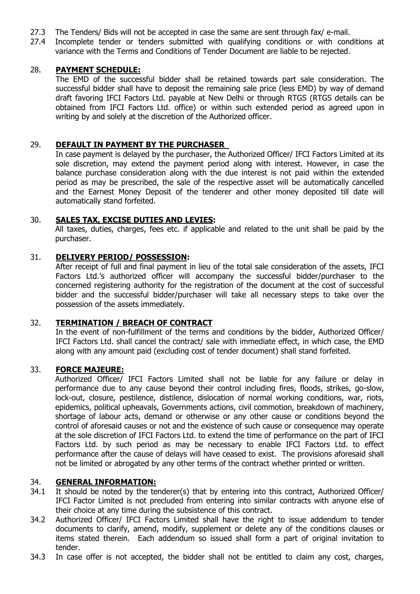- 27.3 The Tenders/ Bids will not be accepted in case the same are sent through fax/ e-mail.
- 27.4 Incomplete tender or tenders submitted with qualifying conditions or with conditions at variance with the Terms and Conditions of Tender Document are liable to be rejected.

#### 28. **PAYMENT SCHEDULE:**

The EMD of the successful bidder shall be retained towards part sale consideration. The successful bidder shall have to deposit the remaining sale price (less EMD) by way of demand draft favoring IFCI Factors Ltd. payable at New Delhi or through RTGS (RTGS details can be obtained from IFCI Factors Ltd. office) or within such extended period as agreed upon in writing by and solely at the discretion of the Authorized officer.

## 29. **DEFAULT IN PAYMENT BY THE PURCHASER**

In case payment is delayed by the purchaser, the Authorized Officer/ IFCI Factors Limited at its sole discretion, may extend the payment period along with interest. However, in case the balance purchase consideration along with the due interest is not paid within the extended period as may be prescribed, the sale of the respective asset will be automatically cancelled and the Earnest Money Deposit of the tenderer and other money deposited till date will automatically stand forfeited.

#### 30. **SALES TAX, EXCISE DUTIES AND LEVIES:**

All taxes, duties, charges, fees etc. if applicable and related to the unit shall be paid by the purchaser.

#### 31. **DELIVERY PERIOD/ POSSESSION:**

After receipt of full and final payment in lieu of the total sale consideration of the assets, IFCI Factors Ltd.'s authorized officer will accompany the successful bidder/purchaser to the concerned registering authority for the registration of the document at the cost of successful bidder and the successful bidder/purchaser will take all necessary steps to take over the possession of the assets immediately.

#### 32. **TERMINATION / BREACH OF CONTRACT**

In the event of non-fulfillment of the terms and conditions by the bidder, Authorized Officer/ IFCI Factors Ltd. shall cancel the contract/ sale with immediate effect, in which case, the EMD along with any amount paid (excluding cost of tender document) shall stand forfeited.

#### 33. **FORCE MAJEURE:**

Authorized Officer/ IFCI Factors Limited shall not be liable for any failure or delay in performance due to any cause beyond their control including fires, floods, strikes, go-slow, lock-out, closure, pestilence, distilence, dislocation of normal working conditions, war, riots, epidemics, political upheavals, Governments actions, civil commotion, breakdown of machinery, shortage of labour acts, demand or otherwise or any other cause or conditions beyond the control of aforesaid causes or not and the existence of such cause or consequence may operate at the sole discretion of IFCI Factors Ltd. to extend the time of performance on the part of IFCI Factors Ltd. by such period as may be necessary to enable IFCI Factors Ltd. to effect performance after the cause of delays will have ceased to exist. The provisions aforesaid shall not be limited or abrogated by any other terms of the contract whether printed or written.

#### 34. **GENERAL INFORMATION:**

- 34.1 It should be noted by the tenderer(s) that by entering into this contract, Authorized Officer/ IFCI Factor Limited is not precluded from entering into similar contracts with anyone else of their choice at any time during the subsistence of this contract.
- 34.2 Authorized Officer/ IFCI Factors Limited shall have the right to issue addendum to tender documents to clarify, amend, modify, supplement or delete any of the conditions clauses or items stated therein. Each addendum so issued shall form a part of original invitation to tender.
- 34.3 In case offer is not accepted, the bidder shall not be entitled to claim any cost, charges,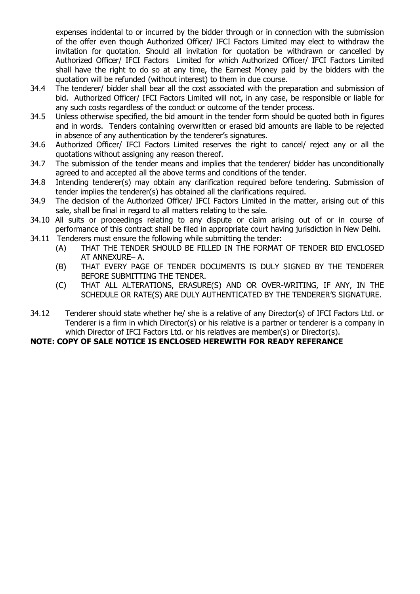expenses incidental to or incurred by the bidder through or in connection with the submission of the offer even though Authorized Officer/ IFCI Factors Limited may elect to withdraw the invitation for quotation. Should all invitation for quotation be withdrawn or cancelled by Authorized Officer/ IFCI Factors Limited for which Authorized Officer/ IFCI Factors Limited shall have the right to do so at any time, the Earnest Money paid by the bidders with the quotation will be refunded (without interest) to them in due course.

- 34.4 The tenderer/ bidder shall bear all the cost associated with the preparation and submission of bid. Authorized Officer/ IFCI Factors Limited will not, in any case, be responsible or liable for any such costs regardless of the conduct or outcome of the tender process.
- 34.5 Unless otherwise specified, the bid amount in the tender form should be quoted both in figures and in words. Tenders containing overwritten or erased bid amounts are liable to be rejected in absence of any authentication by the tenderer's signatures.
- 34.6 Authorized Officer/ IFCI Factors Limited reserves the right to cancel/ reject any or all the quotations without assigning any reason thereof.
- 34.7 The submission of the tender means and implies that the tenderer/ bidder has unconditionally agreed to and accepted all the above terms and conditions of the tender.
- 34.8 Intending tenderer(s) may obtain any clarification required before tendering. Submission of tender implies the tenderer(s) has obtained all the clarifications required.
- 34.9 The decision of the Authorized Officer/ IFCI Factors Limited in the matter, arising out of this sale, shall be final in regard to all matters relating to the sale.
- 34.10 All suits or proceedings relating to any dispute or claim arising out of or in course of performance of this contract shall be filed in appropriate court having jurisdiction in New Delhi.
- 34.11 Tenderers must ensure the following while submitting the tender:
	- (A) THAT THE TENDER SHOULD BE FILLED IN THE FORMAT OF TENDER BID ENCLOSED AT ANNEXURE– A.
	- (B) THAT EVERY PAGE OF TENDER DOCUMENTS IS DULY SIGNED BY THE TENDERER BEFORE SUBMITTING THE TENDER.
	- (C) THAT ALL ALTERATIONS, ERASURE(S) AND OR OVER-WRITING, IF ANY, IN THE SCHEDULE OR RATE(S) ARE DULY AUTHENTICATED BY THE TENDERER'S SIGNATURE.
- 34.12 Tenderer should state whether he/ she is a relative of any Director(s) of IFCI Factors Ltd. or Tenderer is a firm in which Director(s) or his relative is a partner or tenderer is a company in which Director of IFCI Factors Ltd. or his relatives are member(s) or Director(s).

## **NOTE: COPY OF SALE NOTICE IS ENCLOSED HEREWITH FOR READY REFERANCE**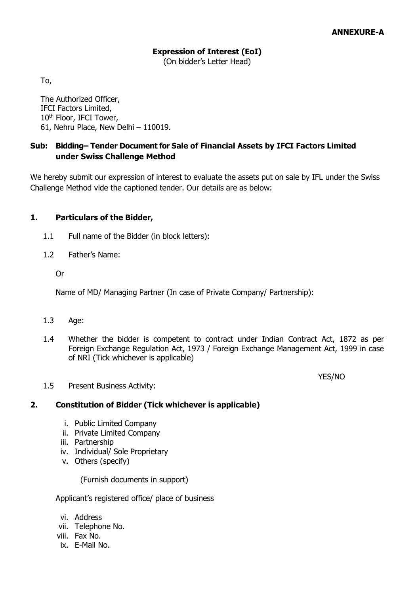(On bidder's Letter Head)

To,

The Authorized Officer, IFCI Factors Limited, 10<sup>th</sup> Floor, IFCI Tower, 61, Nehru Place, New Delhi – 110019.

## **Sub: Bidding– Tender Document for Sale of Financial Assets by IFCI Factors Limited under Swiss Challenge Method**

We hereby submit our expression of interest to evaluate the assets put on sale by IFL under the Swiss Challenge Method vide the captioned tender. Our details are as below:

#### **1. Particulars of the Bidder,**

- 1.1 Full name of the Bidder (in block letters):
- 1.2 Father's Name:

Or

Name of MD/ Managing Partner (In case of Private Company/ Partnership):

- 1.3 Age:
- 1.4 Whether the bidder is competent to contract under Indian Contract Act, 1872 as per Foreign Exchange Regulation Act, 1973 / Foreign Exchange Management Act, 1999 in case of NRI (Tick whichever is applicable)

YES/NO

1.5 Present Business Activity:

#### **2. Constitution of Bidder (Tick whichever is applicable)**

- i. Public Limited Company
- ii. Private Limited Company
- iii. Partnership
- iv. Individual/ Sole Proprietary
- v. Others (specify)

(Furnish documents in support)

Applicant's registered office/ place of business

- vi. Address
- vii. Telephone No.
- viii. Fax No.
- ix. E-Mail No.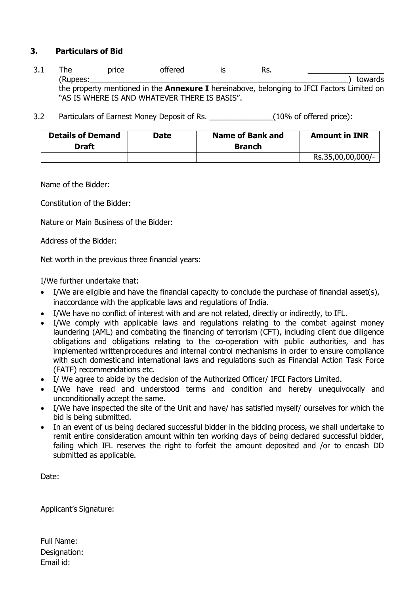## **3. Particulars of Bid**

- 3.1 The price offered is Rs. \_\_\_\_\_\_\_\_\_\_\_\_\_\_\_\_\_\_ (Rupees:\_\_\_\_\_\_\_\_\_\_\_\_\_\_\_\_\_\_\_\_\_\_\_\_\_\_\_\_\_\_\_\_\_\_\_\_\_\_\_\_\_\_\_\_\_\_\_\_\_\_\_\_\_\_\_\_\_\_\_\_\_) towards the property mentioned in the **Annexure I** hereinabove, belonging to IFCI Factors Limited on "AS IS WHERE IS AND WHATEVER THERE IS BASIS".
- 3.2 Particulars of Earnest Money Deposit of Rs. \_\_\_\_\_\_\_\_\_\_\_\_\_\_\_\_(10% of offered price):

| <b>Details of Demand</b><br><b>Draft</b> | Date | Name of Bank and<br><b>Branch</b> | <b>Amount in INR</b> |
|------------------------------------------|------|-----------------------------------|----------------------|
|                                          |      |                                   | Rs.35,00,00,000/-    |

Name of the Bidder:

Constitution of the Bidder:

Nature or Main Business of the Bidder:

Address of the Bidder:

Net worth in the previous three financial years:

I/We further undertake that:

- $\bullet$  I/We are eligible and have the financial capacity to conclude the purchase of financial asset(s), inaccordance with the applicable laws and regulations of India.
- I/We have no conflict of interest with and are not related, directly or indirectly, to IFL.
- I/We comply with applicable laws and regulations relating to the combat against money laundering (AML) and combating the financing of terrorism (CFT), including client due diligence obligations and obligations relating to the co-operation with public authorities, and has implemented writtenprocedures and internal control mechanisms in order to ensure compliance with such domesticand international laws and regulations such as Financial Action Task Force (FATF) recommendations etc.
- I/ We agree to abide by the decision of the Authorized Officer/ IFCI Factors Limited.
- I/We have read and understood terms and condition and hereby unequivocally and unconditionally accept the same.
- I/We have inspected the site of the Unit and have/ has satisfied myself/ ourselves for which the bid is being submitted.
- In an event of us being declared successful bidder in the bidding process, we shall undertake to remit entire consideration amount within ten working days of being declared successful bidder, failing which IFL reserves the right to forfeit the amount deposited and /or to encash DD submitted as applicable.

Date:

Applicant's Signature:

Full Name: Designation: Email id: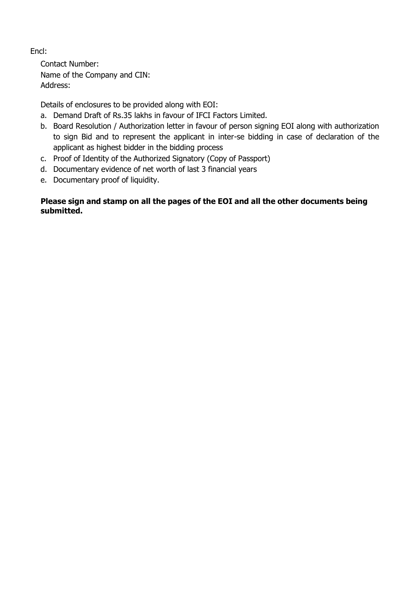## Encl:

Contact Number: Name of the Company and CIN: Address:

Details of enclosures to be provided along with EOI:

- a. Demand Draft of Rs.35 lakhs in favour of IFCI Factors Limited.
- b. Board Resolution / Authorization letter in favour of person signing EOI along with authorization to sign Bid and to represent the applicant in inter-se bidding in case of declaration of the applicant as highest bidder in the bidding process
- c. Proof of Identity of the Authorized Signatory (Copy of Passport)
- d. Documentary evidence of net worth of last 3 financial years
- e. Documentary proof of liquidity.

## **Please sign and stamp on all the pages of the EOI and all the other documents being submitted.**